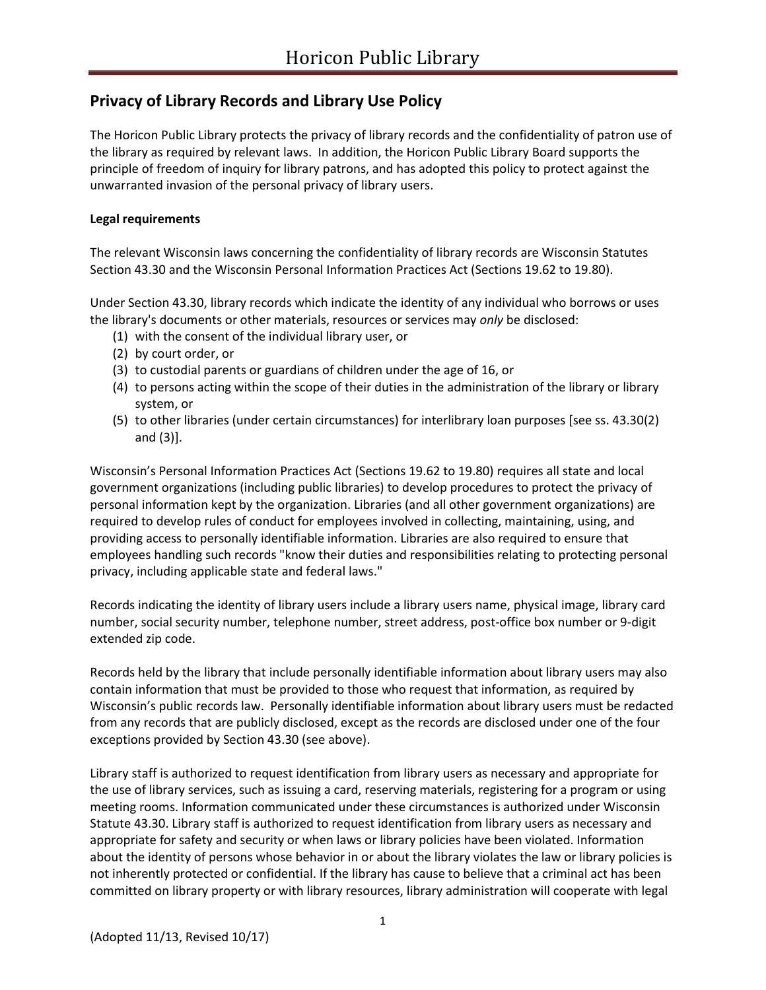# **Privacy of Library Records and Library Use Policy**

The Horicon Public Library protects the privacy of library records and the confidentiality of patron use of the library as required by relevant laws. In addition, the Horicon Public Library Board supports the principle of freedom of inquiry for library patrons, and has adopted this policy to protect against the unwarranted invasion of the personal privacy of library users.

# **Legal requirements**

The relevant Wisconsin laws concerning the confidentiality of library records are Wisconsin Statutes Section 43.30 and the Wisconsin Personal Information Practices Act (Sections 19.62 to 19.80).

Under Section 43.30, library records which indicate the identity of any individual who borrows or uses the library's documents or other materials, resources or services may *only* be disclosed:

- (1) with the consent of the individual library user, or
- (2) by court order, or
- (3) to custodial parents or guardians of children under the age of 16, or
- (4) to persons acting within the scope of their duties in the administration of the library or library system, or
- (5) to other libraries (under certain circumstances) for interlibrary loan purposes [see ss. 43.30(2) and (3)].

Wisconsin's Personal Information Practices Act (Sections 19.62 to 19.80) requires all state and local government organizations (including public libraries) to develop procedures to protect the privacy of personal information kept by the organization. Libraries (and all other government organizations) are required to develop rules of conduct for employees involved in collecting, maintaining, using, and providing access to personally identifiable information. Libraries are also required to ensure that employees handling such records "know their duties and responsibilities relating to protecting personal privacy, including applicable state and federal laws."

Records indicating the identity of library users include a library users name, physical image, library card number, social security number, telephone number, street address, post-office box number or 9-digit extended zip code.

Records held by the library that include personally identifiable information about library users may also contain information that must be provided to those who request that information, as required by Wisconsin's public records law. Personally identifiable information about library users must be redacted from any records that are publicly disclosed, except as the records are disclosed under one of the four exceptions provided by Section 43.30 (see above).

Library staff is authorized to request identification from library users as necessary and appropriate for the use of library services, such as issuing a card, reserving materials, registering for a program or using meeting rooms. Information communicated under these circumstances is authorized under Wisconsin Statute 43.30. Library staff is authorized to request identification from library users as necessary and appropriate for safety and security or when laws or library policies have been violated. Information about the identity of persons whose behavior in or about the library violates the law or library policies is not inherently protected or confidential. If the library has cause to believe that a criminal act has been committed on library property or with library resources, library administration will cooperate with legal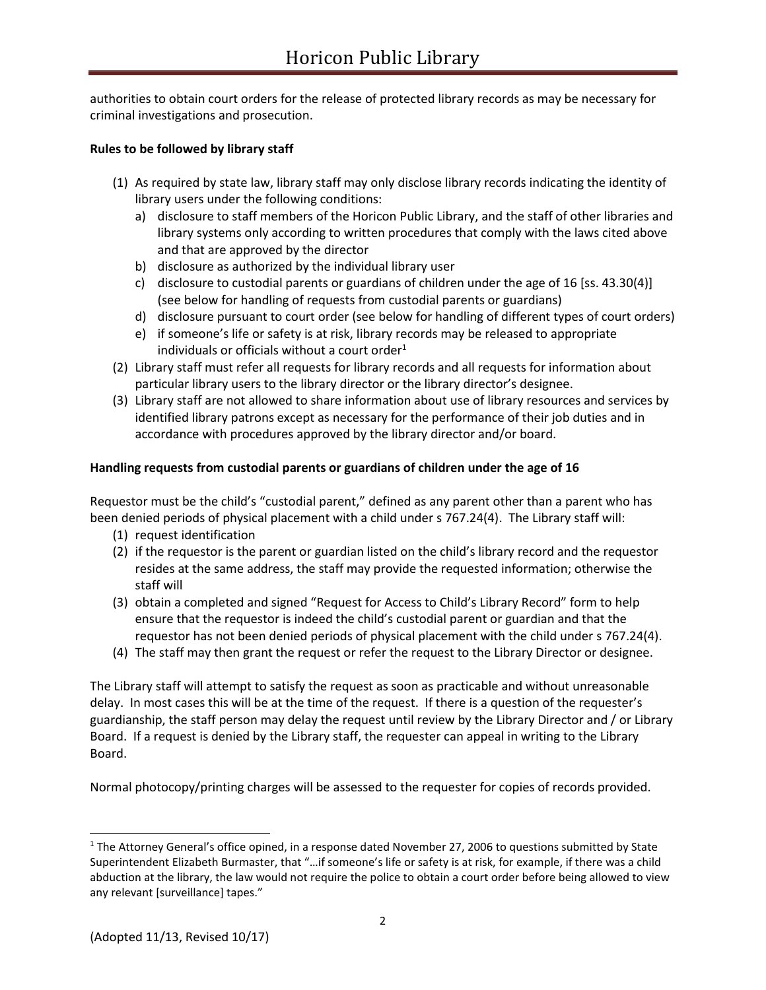authorities to obtain court orders for the release of protected library records as may be necessary for criminal investigations and prosecution.

#### **Rules to be followed by library staff**

- (1) As required by state law, library staff may only disclose library records indicating the identity of library users under the following conditions:
	- a) disclosure to staff members of the Horicon Public Library, and the staff of other libraries and library systems only according to written procedures that comply with the laws cited above and that are approved by the director
	- b) disclosure as authorized by the individual library user
	- c) disclosure to custodial parents or guardians of children under the age of 16 [ss. 43.30(4)] (see below for handling of requests from custodial parents or guardians)
	- d) disclosure pursuant to court order (see below for handling of different types of court orders)
	- e) if someone's life or safety is at risk, library records may be released to appropriate individuals or officials without a court order $1$
- (2) Library staff must refer all requests for library records and all requests for information about particular library users to the library director or the library director's designee.
- (3) Library staff are not allowed to share information about use of library resources and services by identified library patrons except as necessary for the performance of their job duties and in accordance with procedures approved by the library director and/or board.

## **Handling requests from custodial parents or guardians of children under the age of 16**

Requestor must be the child's "custodial parent," defined as any parent other than a parent who has been denied periods of physical placement with a child under s 767.24(4). The Library staff will:

- (1) request identification
- (2) if the requestor is the parent or guardian listed on the child's library record and the requestor resides at the same address, the staff may provide the requested information; otherwise the staff will
- (3) obtain a completed and signed "Request for Access to Child's Library Record" form to help ensure that the requestor is indeed the child's custodial parent or guardian and that the requestor has not been denied periods of physical placement with the child under s 767.24(4).
- (4) The staff may then grant the request or refer the request to the Library Director or designee.

The Library staff will attempt to satisfy the request as soon as practicable and without unreasonable delay. In most cases this will be at the time of the request. If there is a question of the requester's guardianship, the staff person may delay the request until review by the Library Director and / or Library Board. If a request is denied by the Library staff, the requester can appeal in writing to the Library Board.

Normal photocopy/printing charges will be assessed to the requester for copies of records provided.

 $\overline{a}$ 

 $1$  The Attorney General's office opined, in a response dated November 27, 2006 to questions submitted by State Superintendent Elizabeth Burmaster, that "…if someone's life or safety is at risk, for example, if there was a child abduction at the library, the law would not require the police to obtain a court order before being allowed to view any relevant [surveillance] tapes."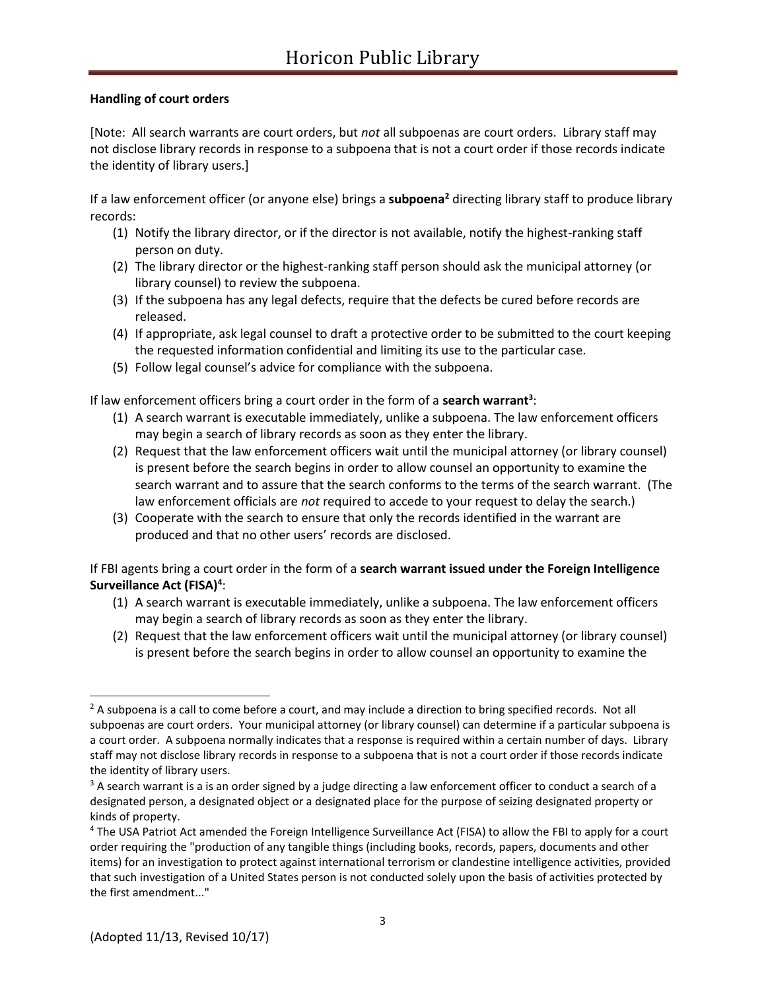## **Handling of court orders**

[Note: All search warrants are court orders, but *not* all subpoenas are court orders. Library staff may not disclose library records in response to a subpoena that is not a court order if those records indicate the identity of library users.]

If a law enforcement officer (or anyone else) brings a **subpoena<sup>2</sup>** directing library staff to produce library records:

- (1) Notify the library director, or if the director is not available, notify the highest-ranking staff person on duty.
- (2) The library director or the highest-ranking staff person should ask the municipal attorney (or library counsel) to review the subpoena.
- (3) If the subpoena has any legal defects, require that the defects be cured before records are released.
- (4) If appropriate, ask legal counsel to draft a protective order to be submitted to the court keeping the requested information confidential and limiting its use to the particular case.
- (5) Follow legal counsel's advice for compliance with the subpoena.

If law enforcement officers bring a court order in the form of a **search warrant<sup>3</sup>** :

- (1) A search warrant is executable immediately, unlike a subpoena. The law enforcement officers may begin a search of library records as soon as they enter the library.
- (2) Request that the law enforcement officers wait until the municipal attorney (or library counsel) is present before the search begins in order to allow counsel an opportunity to examine the search warrant and to assure that the search conforms to the terms of the search warrant. (The law enforcement officials are *not* required to accede to your request to delay the search.)
- (3) Cooperate with the search to ensure that only the records identified in the warrant are produced and that no other users' records are disclosed.

If FBI agents bring a court order in the form of a **search warrant issued under the Foreign Intelligence Surveillance Act (FISA)<sup>4</sup>** :

- (1) A search warrant is executable immediately, unlike a subpoena. The law enforcement officers may begin a search of library records as soon as they enter the library.
- (2) Request that the law enforcement officers wait until the municipal attorney (or library counsel) is present before the search begins in order to allow counsel an opportunity to examine the

 $\overline{a}$ 

 $2A$  subpoena is a call to come before a court, and may include a direction to bring specified records. Not all subpoenas are court orders. Your municipal attorney (or library counsel) can determine if a particular subpoena is a court order. A subpoena normally indicates that a response is required within a certain number of days. Library staff may not disclose library records in response to a subpoena that is not a court order if those records indicate the identity of library users.

<sup>&</sup>lt;sup>3</sup> A search warrant is a is an order signed by a judge directing a law enforcement officer to conduct a search of a designated person, a designated object or a designated place for the purpose of seizing designated property or kinds of property.

<sup>4</sup> The USA Patriot Act amended the Foreign Intelligence Surveillance Act (FISA) to allow the FBI to apply for a court order requiring the "production of any tangible things (including books, records, papers, documents and other items) for an investigation to protect against international terrorism or clandestine intelligence activities, provided that such investigation of a United States person is not conducted solely upon the basis of activities protected by the first amendment..."